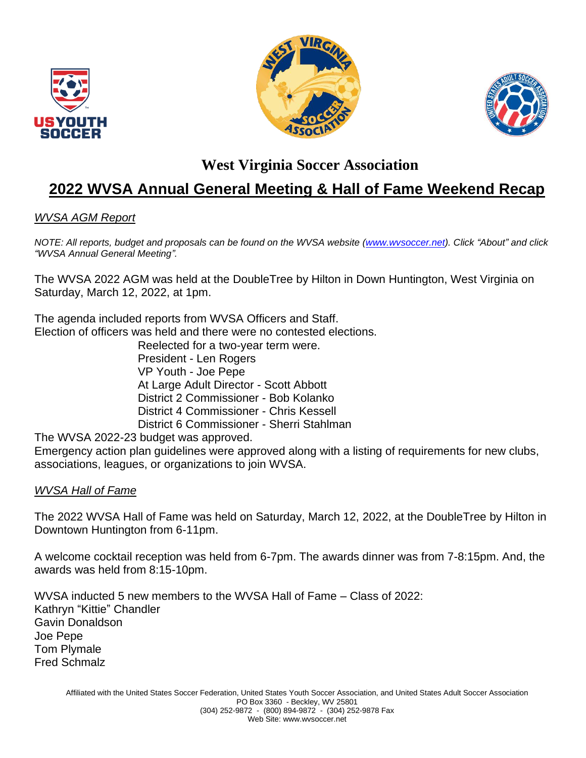





### **West Virginia Soccer Association**

# **2022 WVSA Annual General Meeting & Hall of Fame Weekend Recap**

### *WVSA AGM Report*

*NOTE: All reports, budget and proposals can be found on the WVSA website [\(www.wvsoccer.net\)](http://www.wvsoccer.net/). Click "About" and click "WVSA Annual General Meeting".*

The WVSA 2022 AGM was held at the DoubleTree by Hilton in Down Huntington, West Virginia on Saturday, March 12, 2022, at 1pm.

The agenda included reports from WVSA Officers and Staff. Election of officers was held and there were no contested elections.

Reelected for a two-year term were. President - Len Rogers VP Youth - Joe Pepe At Large Adult Director - Scott Abbott District 2 Commissioner - Bob Kolanko District 4 Commissioner - Chris Kessell District 6 Commissioner - Sherri Stahlman

The WVSA 2022-23 budget was approved.

Emergency action plan guidelines were approved along with a listing of requirements for new clubs, associations, leagues, or organizations to join WVSA.

#### *WVSA Hall of Fame*

The 2022 WVSA Hall of Fame was held on Saturday, March 12, 2022, at the DoubleTree by Hilton in Downtown Huntington from 6-11pm.

A welcome cocktail reception was held from 6-7pm. The awards dinner was from 7-8:15pm. And, the awards was held from 8:15-10pm.

WVSA inducted 5 new members to the WVSA Hall of Fame – Class of 2022: Kathryn "Kittie" Chandler Gavin Donaldson Joe Pepe Tom Plymale Fred Schmalz